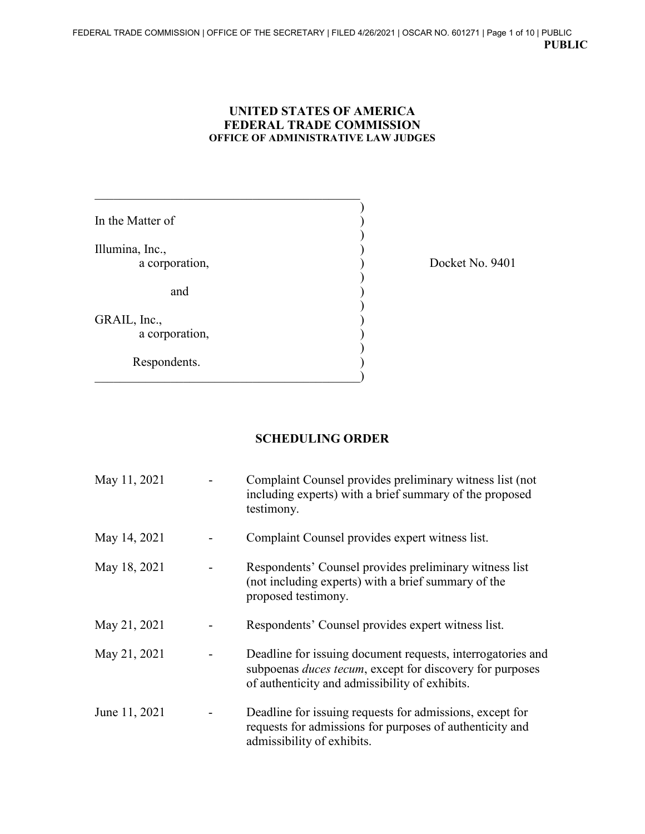## **UNITED STATES OF AMERICA FEDERAL TRADE COMMISSION OFFICE OF ADMINISTRATIVE LAW JUDGES**

)

)

)

)

)

In the Matter of  $\qquad \qquad$  ) Illumina, Inc., (a) corporation, (b) and ) GRAIL, Inc., a corporation, Respondents.

 $\qquad \qquad \qquad \qquad \qquad \qquad$ 

 $\mathcal{L}_\mathcal{L}$  , which is a set of the set of the set of the set of the set of the set of the set of the set of the set of the set of the set of the set of the set of the set of the set of the set of the set of the set of

Docket No. 9401

## **SCHEDULING ORDER**

| May 11, 2021  | Complaint Counsel provides preliminary witness list (not<br>including experts) with a brief summary of the proposed<br>testimony.                                                 |
|---------------|-----------------------------------------------------------------------------------------------------------------------------------------------------------------------------------|
| May 14, 2021  | Complaint Counsel provides expert witness list.                                                                                                                                   |
| May 18, 2021  | Respondents' Counsel provides preliminary witness list<br>(not including experts) with a brief summary of the<br>proposed testimony.                                              |
| May 21, 2021  | Respondents' Counsel provides expert witness list.                                                                                                                                |
| May 21, 2021  | Deadline for issuing document requests, interrogatories and<br>subpoenas <i>duces tecum</i> , except for discovery for purposes<br>of authenticity and admissibility of exhibits. |
| June 11, 2021 | Deadline for issuing requests for admissions, except for<br>requests for admissions for purposes of authenticity and<br>admissibility of exhibits.                                |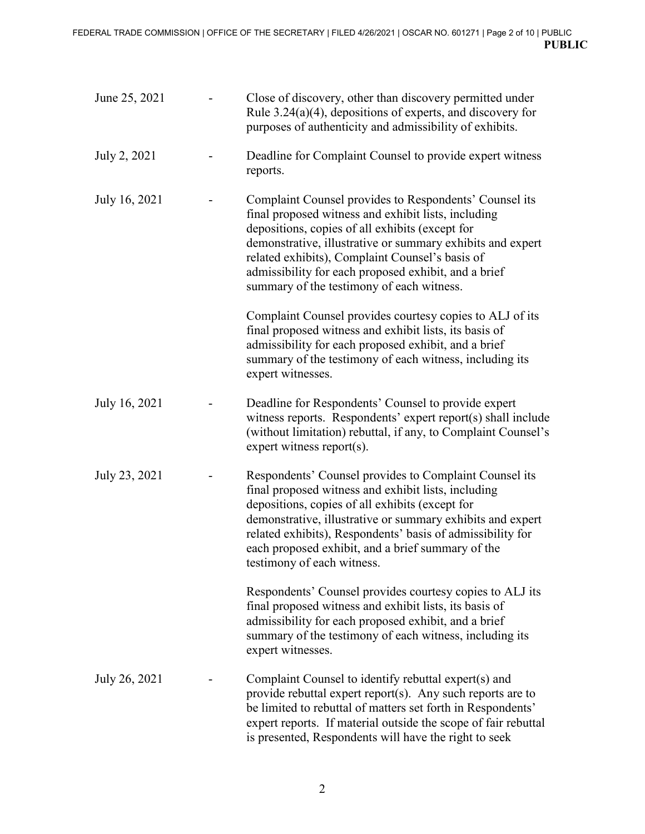| June 25, 2021 | Close of discovery, other than discovery permitted under<br>Rule $3.24(a)(4)$ , depositions of experts, and discovery for<br>purposes of authenticity and admissibility of exhibits.                                                                                                                                                                                                   |
|---------------|----------------------------------------------------------------------------------------------------------------------------------------------------------------------------------------------------------------------------------------------------------------------------------------------------------------------------------------------------------------------------------------|
| July 2, 2021  | Deadline for Complaint Counsel to provide expert witness<br>reports.                                                                                                                                                                                                                                                                                                                   |
| July 16, 2021 | Complaint Counsel provides to Respondents' Counsel its<br>final proposed witness and exhibit lists, including<br>depositions, copies of all exhibits (except for<br>demonstrative, illustrative or summary exhibits and expert<br>related exhibits), Complaint Counsel's basis of<br>admissibility for each proposed exhibit, and a brief<br>summary of the testimony of each witness. |
|               | Complaint Counsel provides courtesy copies to ALJ of its<br>final proposed witness and exhibit lists, its basis of<br>admissibility for each proposed exhibit, and a brief<br>summary of the testimony of each witness, including its<br>expert witnesses.                                                                                                                             |
| July 16, 2021 | Deadline for Respondents' Counsel to provide expert<br>witness reports. Respondents' expert report(s) shall include<br>(without limitation) rebuttal, if any, to Complaint Counsel's<br>expert witness report( $s$ ).                                                                                                                                                                  |
| July 23, 2021 | Respondents' Counsel provides to Complaint Counsel its<br>final proposed witness and exhibit lists, including<br>depositions, copies of all exhibits (except for<br>demonstrative, illustrative or summary exhibits and expert<br>related exhibits), Respondents' basis of admissibility for<br>each proposed exhibit, and a brief summary of the<br>testimony of each witness.        |
|               | Respondents' Counsel provides courtesy copies to ALJ its<br>final proposed witness and exhibit lists, its basis of<br>admissibility for each proposed exhibit, and a brief<br>summary of the testimony of each witness, including its<br>expert witnesses.                                                                                                                             |
| July 26, 2021 | Complaint Counsel to identify rebuttal expert(s) and<br>provide rebuttal expert report(s). Any such reports are to<br>be limited to rebuttal of matters set forth in Respondents'<br>expert reports. If material outside the scope of fair rebuttal<br>is presented, Respondents will have the right to seek                                                                           |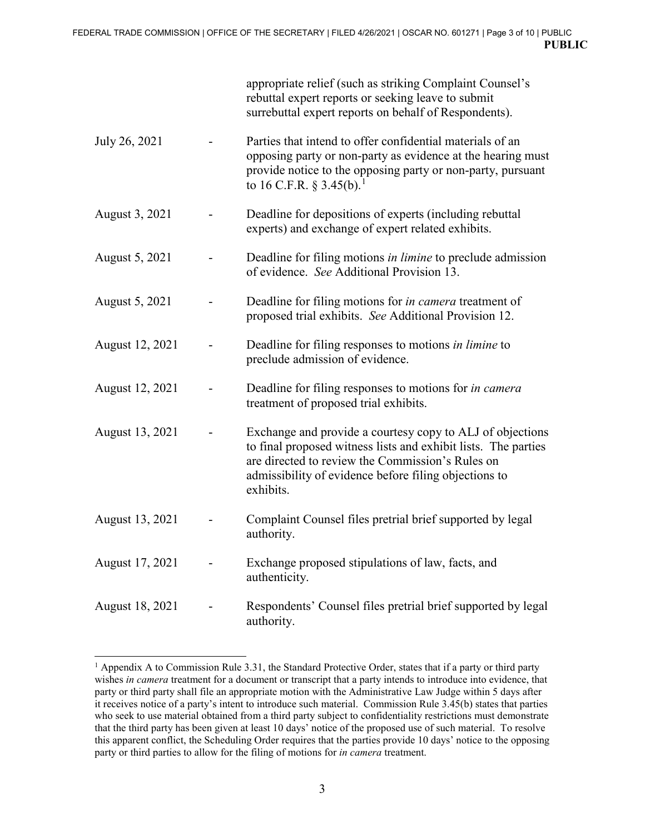|                 | appropriate relief (such as striking Complaint Counsel's<br>rebuttal expert reports or seeking leave to submit<br>surrebuttal expert reports on behalf of Respondents).                                                                               |
|-----------------|-------------------------------------------------------------------------------------------------------------------------------------------------------------------------------------------------------------------------------------------------------|
| July 26, 2021   | Parties that intend to offer confidential materials of an<br>opposing party or non-party as evidence at the hearing must<br>provide notice to the opposing party or non-party, pursuant<br>to 16 C.F.R. § 3.45(b). <sup>1</sup>                       |
| August 3, 2021  | Deadline for depositions of experts (including rebuttal<br>experts) and exchange of expert related exhibits.                                                                                                                                          |
| August 5, 2021  | Deadline for filing motions in limine to preclude admission<br>of evidence. See Additional Provision 13.                                                                                                                                              |
| August 5, 2021  | Deadline for filing motions for <i>in camera</i> treatment of<br>proposed trial exhibits. See Additional Provision 12.                                                                                                                                |
| August 12, 2021 | Deadline for filing responses to motions in limine to<br>preclude admission of evidence.                                                                                                                                                              |
| August 12, 2021 | Deadline for filing responses to motions for in camera<br>treatment of proposed trial exhibits.                                                                                                                                                       |
| August 13, 2021 | Exchange and provide a courtesy copy to ALJ of objections<br>to final proposed witness lists and exhibit lists. The parties<br>are directed to review the Commission's Rules on<br>admissibility of evidence before filing objections to<br>exhibits. |
| August 13, 2021 | Complaint Counsel files pretrial brief supported by legal<br>authority.                                                                                                                                                                               |
| August 17, 2021 | Exchange proposed stipulations of law, facts, and<br>authenticity.                                                                                                                                                                                    |
| August 18, 2021 | Respondents' Counsel files pretrial brief supported by legal<br>authority.                                                                                                                                                                            |

 $\overline{a}$ <sup>1</sup> Appendix A to Commission Rule 3.31, the Standard Protective Order, states that if a party or third party wishes *in camera* treatment for a document or transcript that a party intends to introduce into evidence, that party or third party shall file an appropriate motion with the Administrative Law Judge within 5 days after it receives notice of a party's intent to introduce such material. Commission Rule 3.45(b) states that parties who seek to use material obtained from a third party subject to confidentiality restrictions must demonstrate that the third party has been given at least 10 days' notice of the proposed use of such material. To resolve this apparent conflict, the Scheduling Order requires that the parties provide 10 days' notice to the opposing party or third parties to allow for the filing of motions for *in camera* treatment.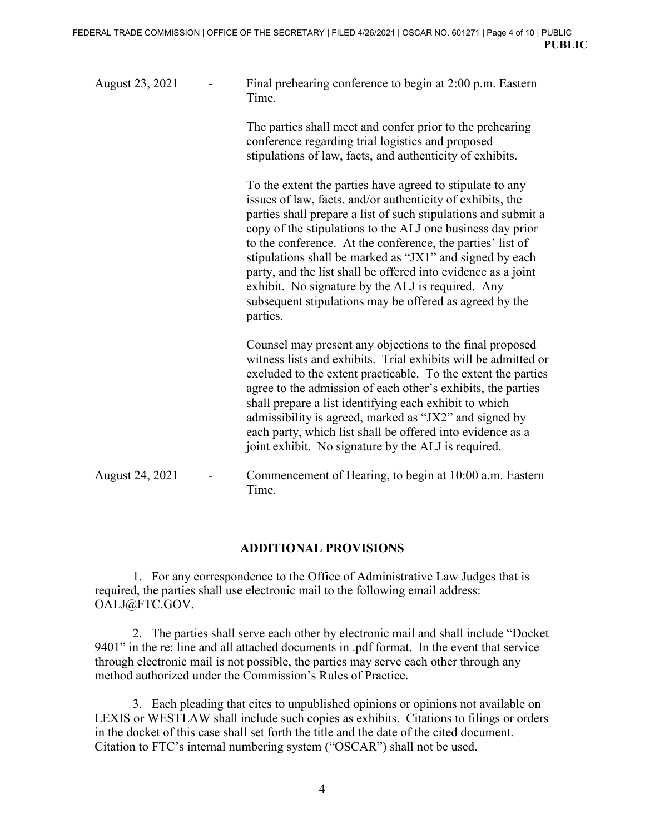| August 23, 2021 | Final prehearing conference to begin at 2:00 p.m. Eastern<br>Time.                                                                                                                                                                                                                                                                                                                                                                                                                                                                                                             |
|-----------------|--------------------------------------------------------------------------------------------------------------------------------------------------------------------------------------------------------------------------------------------------------------------------------------------------------------------------------------------------------------------------------------------------------------------------------------------------------------------------------------------------------------------------------------------------------------------------------|
|                 | The parties shall meet and confer prior to the prehearing<br>conference regarding trial logistics and proposed<br>stipulations of law, facts, and authenticity of exhibits.                                                                                                                                                                                                                                                                                                                                                                                                    |
|                 | To the extent the parties have agreed to stipulate to any<br>issues of law, facts, and/or authenticity of exhibits, the<br>parties shall prepare a list of such stipulations and submit a<br>copy of the stipulations to the ALJ one business day prior<br>to the conference. At the conference, the parties' list of<br>stipulations shall be marked as "JX1" and signed by each<br>party, and the list shall be offered into evidence as a joint<br>exhibit. No signature by the ALJ is required. Any<br>subsequent stipulations may be offered as agreed by the<br>parties. |
|                 | Counsel may present any objections to the final proposed<br>witness lists and exhibits. Trial exhibits will be admitted or<br>excluded to the extent practicable. To the extent the parties<br>agree to the admission of each other's exhibits, the parties<br>shall prepare a list identifying each exhibit to which<br>admissibility is agreed, marked as "JX2" and signed by<br>each party, which list shall be offered into evidence as a<br>joint exhibit. No signature by the ALJ is required.                                                                           |
| August 24, 2021 | Commencement of Hearing, to begin at 10:00 a.m. Eastern<br>Time.                                                                                                                                                                                                                                                                                                                                                                                                                                                                                                               |

## **ADDITIONAL PROVISIONS**

1. For any correspondence to the Office of Administrative Law Judges that is required, the parties shall use electronic mail to the following email address: OALJ@FTC.GOV.

2. The parties shall serve each other by electronic mail and shall include "Docket 9401" in the re: line and all attached documents in .pdf format. In the event that service through electronic mail is not possible, the parties may serve each other through any method authorized under the Commission's Rules of Practice.

3. Each pleading that cites to unpublished opinions or opinions not available on LEXIS or WESTLAW shall include such copies as exhibits. Citations to filings or orders in the docket of this case shall set forth the title and the date of the cited document. Citation to FTC's internal numbering system ("OSCAR") shall not be used.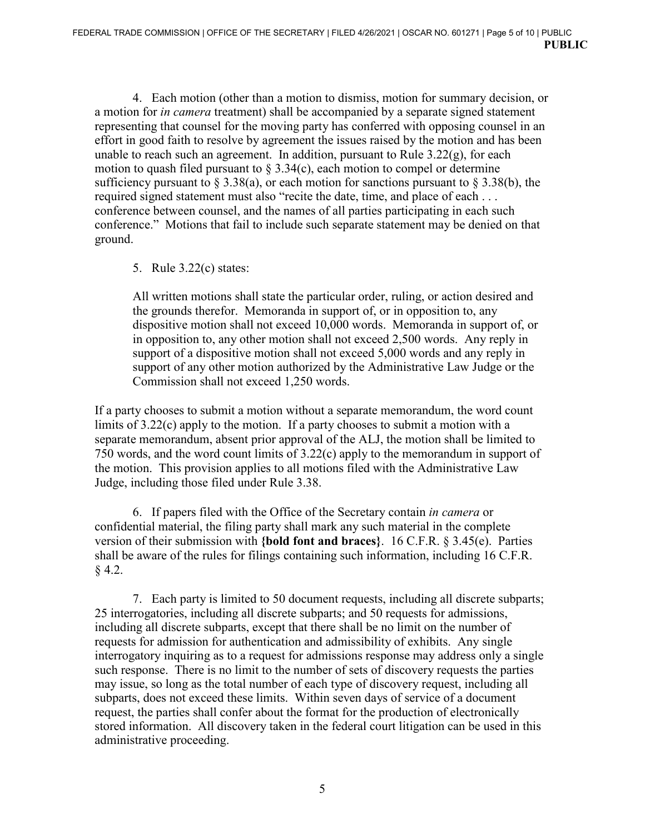4. Each motion (other than a motion to dismiss, motion for summary decision, or a motion for *in camera* treatment) shall be accompanied by a separate signed statement representing that counsel for the moving party has conferred with opposing counsel in an effort in good faith to resolve by agreement the issues raised by the motion and has been unable to reach such an agreement. In addition, pursuant to Rule  $3.22(g)$ , for each motion to quash filed pursuant to  $\S 3.34(c)$ , each motion to compel or determine sufficiency pursuant to  $\S 3.38(a)$ , or each motion for sanctions pursuant to  $\S 3.38(b)$ , the required signed statement must also "recite the date, time, and place of each . . . conference between counsel, and the names of all parties participating in each such conference." Motions that fail to include such separate statement may be denied on that ground.

## 5. Rule 3.22(c) states:

All written motions shall state the particular order, ruling, or action desired and the grounds therefor. Memoranda in support of, or in opposition to, any dispositive motion shall not exceed 10,000 words. Memoranda in support of, or in opposition to, any other motion shall not exceed 2,500 words. Any reply in support of a dispositive motion shall not exceed 5,000 words and any reply in support of any other motion authorized by the Administrative Law Judge or the Commission shall not exceed 1,250 words.

If a party chooses to submit a motion without a separate memorandum, the word count limits of 3.22(c) apply to the motion. If a party chooses to submit a motion with a separate memorandum, absent prior approval of the ALJ, the motion shall be limited to 750 words, and the word count limits of 3.22(c) apply to the memorandum in support of the motion. This provision applies to all motions filed with the Administrative Law Judge, including those filed under Rule 3.38.

6. If papers filed with the Office of the Secretary contain *in camera* or confidential material, the filing party shall mark any such material in the complete version of their submission with **{bold font and braces}**. 16 C.F.R. § 3.45(e). Parties shall be aware of the rules for filings containing such information, including 16 C.F.R. § 4.2.

7. Each party is limited to 50 document requests, including all discrete subparts; 25 interrogatories, including all discrete subparts; and 50 requests for admissions, including all discrete subparts, except that there shall be no limit on the number of requests for admission for authentication and admissibility of exhibits. Any single interrogatory inquiring as to a request for admissions response may address only a single such response. There is no limit to the number of sets of discovery requests the parties may issue, so long as the total number of each type of discovery request, including all subparts, does not exceed these limits. Within seven days of service of a document request, the parties shall confer about the format for the production of electronically stored information. All discovery taken in the federal court litigation can be used in this administrative proceeding.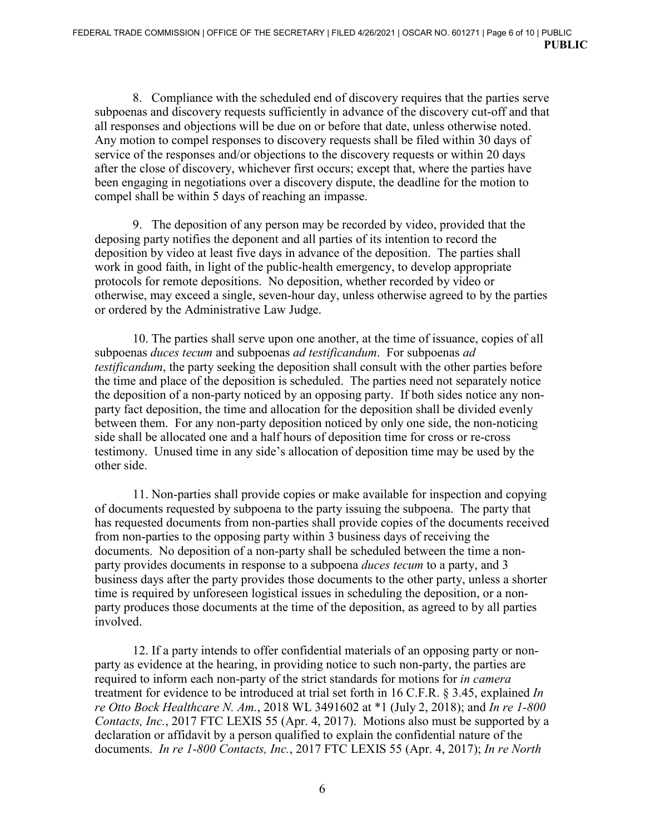8. Compliance with the scheduled end of discovery requires that the parties serve subpoenas and discovery requests sufficiently in advance of the discovery cut-off and that all responses and objections will be due on or before that date, unless otherwise noted. Any motion to compel responses to discovery requests shall be filed within 30 days of service of the responses and/or objections to the discovery requests or within 20 days after the close of discovery, whichever first occurs; except that, where the parties have been engaging in negotiations over a discovery dispute, the deadline for the motion to compel shall be within 5 days of reaching an impasse.

9. The deposition of any person may be recorded by video, provided that the deposing party notifies the deponent and all parties of its intention to record the deposition by video at least five days in advance of the deposition. The parties shall work in good faith, in light of the public-health emergency, to develop appropriate protocols for remote depositions. No deposition, whether recorded by video or otherwise, may exceed a single, seven-hour day, unless otherwise agreed to by the parties or ordered by the Administrative Law Judge.

10. The parties shall serve upon one another, at the time of issuance, copies of all subpoenas *duces tecum* and subpoenas *ad testificandum*. For subpoenas *ad testificandum*, the party seeking the deposition shall consult with the other parties before the time and place of the deposition is scheduled. The parties need not separately notice the deposition of a non-party noticed by an opposing party. If both sides notice any nonparty fact deposition, the time and allocation for the deposition shall be divided evenly between them. For any non-party deposition noticed by only one side, the non-noticing side shall be allocated one and a half hours of deposition time for cross or re-cross testimony. Unused time in any side's allocation of deposition time may be used by the other side.

11. Non-parties shall provide copies or make available for inspection and copying of documents requested by subpoena to the party issuing the subpoena. The party that has requested documents from non-parties shall provide copies of the documents received from non-parties to the opposing party within 3 business days of receiving the documents. No deposition of a non-party shall be scheduled between the time a nonparty provides documents in response to a subpoena *duces tecum* to a party, and 3 business days after the party provides those documents to the other party, unless a shorter time is required by unforeseen logistical issues in scheduling the deposition, or a nonparty produces those documents at the time of the deposition, as agreed to by all parties involved.

12. If a party intends to offer confidential materials of an opposing party or nonparty as evidence at the hearing, in providing notice to such non-party, the parties are required to inform each non-party of the strict standards for motions for *in camera* treatment for evidence to be introduced at trial set forth in 16 C.F.R. § 3.45, explained *In re Otto Bock Healthcare N. Am.*, 2018 WL 3491602 at \*1 (July 2, 2018); and *In re 1-800 Contacts, Inc.*, 2017 FTC LEXIS 55 (Apr. 4, 2017). Motions also must be supported by a declaration or affidavit by a person qualified to explain the confidential nature of the documents. *In re 1-800 Contacts, Inc.*, 2017 FTC LEXIS 55 (Apr. 4, 2017); *In re North*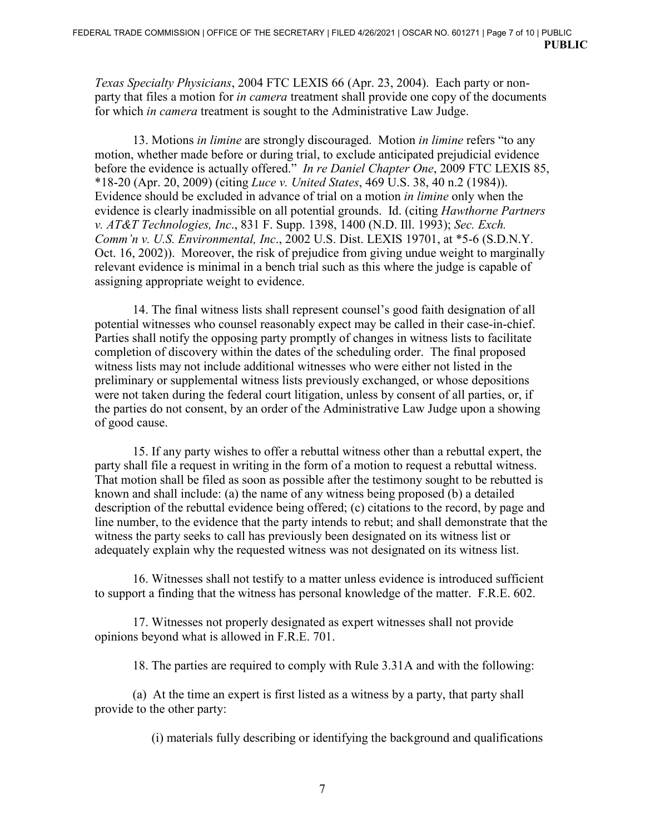*Texas Specialty Physicians*, 2004 FTC LEXIS 66 (Apr. 23, 2004). Each party or nonparty that files a motion for *in camera* treatment shall provide one copy of the documents for which *in camera* treatment is sought to the Administrative Law Judge.

13. Motions *in limine* are strongly discouraged. Motion *in limine* refers "to any motion, whether made before or during trial, to exclude anticipated prejudicial evidence before the evidence is actually offered." *In re Daniel Chapter One*, 2009 FTC LEXIS 85, \*18-20 (Apr. 20, 2009) (citing *Luce v. United States*, 469 U.S. 38, 40 n.2 (1984)). Evidence should be excluded in advance of trial on a motion *in limine* only when the evidence is clearly inadmissible on all potential grounds. Id. (citing *Hawthorne Partners v. AT&T Technologies, Inc*., 831 F. Supp. 1398, 1400 (N.D. Ill. 1993); *Sec. Exch. Comm'n v. U.S. Environmental, Inc*., 2002 U.S. Dist. LEXIS 19701, at \*5-6 (S.D.N.Y. Oct. 16, 2002)). Moreover, the risk of prejudice from giving undue weight to marginally relevant evidence is minimal in a bench trial such as this where the judge is capable of assigning appropriate weight to evidence.

14. The final witness lists shall represent counsel's good faith designation of all potential witnesses who counsel reasonably expect may be called in their case-in-chief. Parties shall notify the opposing party promptly of changes in witness lists to facilitate completion of discovery within the dates of the scheduling order. The final proposed witness lists may not include additional witnesses who were either not listed in the preliminary or supplemental witness lists previously exchanged, or whose depositions were not taken during the federal court litigation, unless by consent of all parties, or, if the parties do not consent, by an order of the Administrative Law Judge upon a showing of good cause.

15. If any party wishes to offer a rebuttal witness other than a rebuttal expert, the party shall file a request in writing in the form of a motion to request a rebuttal witness. That motion shall be filed as soon as possible after the testimony sought to be rebutted is known and shall include: (a) the name of any witness being proposed (b) a detailed description of the rebuttal evidence being offered; (c) citations to the record, by page and line number, to the evidence that the party intends to rebut; and shall demonstrate that the witness the party seeks to call has previously been designated on its witness list or adequately explain why the requested witness was not designated on its witness list.

16. Witnesses shall not testify to a matter unless evidence is introduced sufficient to support a finding that the witness has personal knowledge of the matter. F.R.E. 602.

17. Witnesses not properly designated as expert witnesses shall not provide opinions beyond what is allowed in F.R.E. 701.

18. The parties are required to comply with Rule 3.31A and with the following:

(a) At the time an expert is first listed as a witness by a party, that party shall provide to the other party:

(i) materials fully describing or identifying the background and qualifications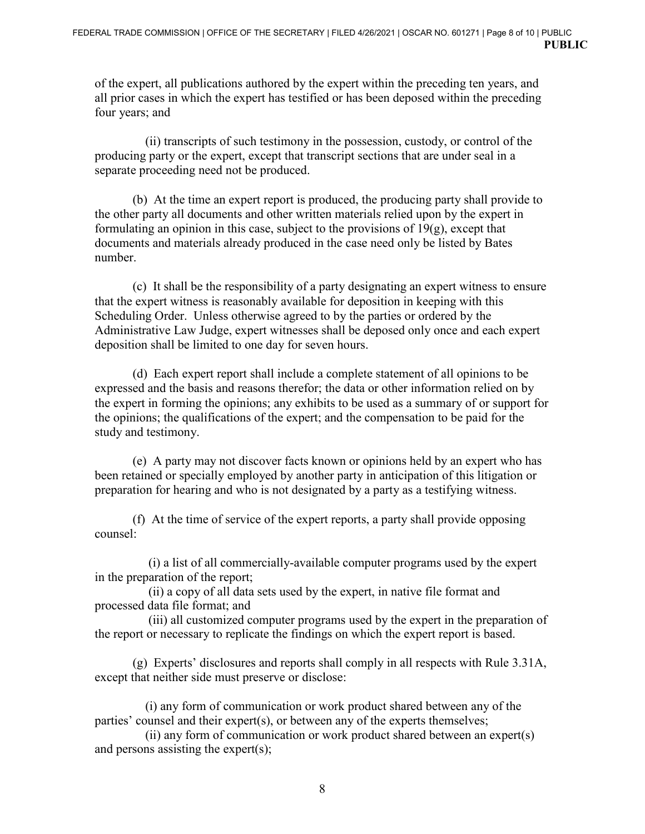of the expert, all publications authored by the expert within the preceding ten years, and all prior cases in which the expert has testified or has been deposed within the preceding four years; and

 (ii) transcripts of such testimony in the possession, custody, or control of the producing party or the expert, except that transcript sections that are under seal in a separate proceeding need not be produced.

(b) At the time an expert report is produced, the producing party shall provide to the other party all documents and other written materials relied upon by the expert in formulating an opinion in this case, subject to the provisions of 19(g), except that documents and materials already produced in the case need only be listed by Bates number.

 (c) It shall be the responsibility of a party designating an expert witness to ensure that the expert witness is reasonably available for deposition in keeping with this Scheduling Order. Unless otherwise agreed to by the parties or ordered by the Administrative Law Judge, expert witnesses shall be deposed only once and each expert deposition shall be limited to one day for seven hours.

(d) Each expert report shall include a complete statement of all opinions to be expressed and the basis and reasons therefor; the data or other information relied on by the expert in forming the opinions; any exhibits to be used as a summary of or support for the opinions; the qualifications of the expert; and the compensation to be paid for the study and testimony.

(e) A party may not discover facts known or opinions held by an expert who has been retained or specially employed by another party in anticipation of this litigation or preparation for hearing and who is not designated by a party as a testifying witness.

(f) At the time of service of the expert reports, a party shall provide opposing counsel:

 (i) a list of all commercially-available computer programs used by the expert in the preparation of the report;

 (ii) a copy of all data sets used by the expert, in native file format and processed data file format; and

 (iii) all customized computer programs used by the expert in the preparation of the report or necessary to replicate the findings on which the expert report is based.

(g) Experts' disclosures and reports shall comply in all respects with Rule 3.31A, except that neither side must preserve or disclose:

 (i) any form of communication or work product shared between any of the parties' counsel and their expert(s), or between any of the experts themselves;

 (ii) any form of communication or work product shared between an expert(s) and persons assisting the expert(s);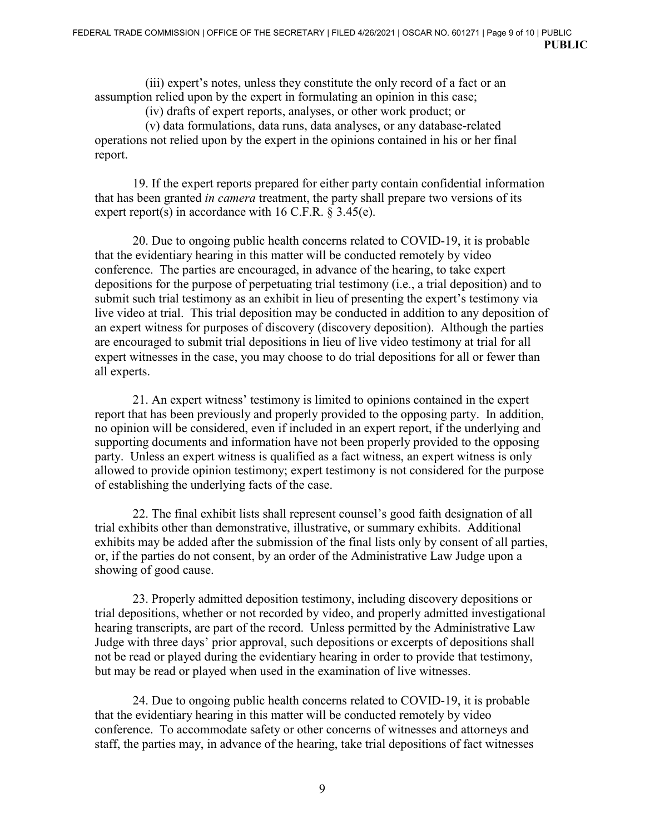(iii) expert's notes, unless they constitute the only record of a fact or an assumption relied upon by the expert in formulating an opinion in this case;

(iv) drafts of expert reports, analyses, or other work product; or

 (v) data formulations, data runs, data analyses, or any database-related operations not relied upon by the expert in the opinions contained in his or her final report.

19. If the expert reports prepared for either party contain confidential information that has been granted *in camera* treatment, the party shall prepare two versions of its expert report(s) in accordance with 16 C.F.R.  $\S 3.45(e)$ .

20. Due to ongoing public health concerns related to COVID-19, it is probable that the evidentiary hearing in this matter will be conducted remotely by video conference. The parties are encouraged, in advance of the hearing, to take expert depositions for the purpose of perpetuating trial testimony (i.e., a trial deposition) and to submit such trial testimony as an exhibit in lieu of presenting the expert's testimony via live video at trial. This trial deposition may be conducted in addition to any deposition of an expert witness for purposes of discovery (discovery deposition). Although the parties are encouraged to submit trial depositions in lieu of live video testimony at trial for all expert witnesses in the case, you may choose to do trial depositions for all or fewer than all experts.

21. An expert witness' testimony is limited to opinions contained in the expert report that has been previously and properly provided to the opposing party. In addition, no opinion will be considered, even if included in an expert report, if the underlying and supporting documents and information have not been properly provided to the opposing party. Unless an expert witness is qualified as a fact witness, an expert witness is only allowed to provide opinion testimony; expert testimony is not considered for the purpose of establishing the underlying facts of the case.

22. The final exhibit lists shall represent counsel's good faith designation of all trial exhibits other than demonstrative, illustrative, or summary exhibits. Additional exhibits may be added after the submission of the final lists only by consent of all parties, or, if the parties do not consent, by an order of the Administrative Law Judge upon a showing of good cause.

23. Properly admitted deposition testimony, including discovery depositions or trial depositions, whether or not recorded by video, and properly admitted investigational hearing transcripts, are part of the record. Unless permitted by the Administrative Law Judge with three days' prior approval, such depositions or excerpts of depositions shall not be read or played during the evidentiary hearing in order to provide that testimony, but may be read or played when used in the examination of live witnesses.

24. Due to ongoing public health concerns related to COVID-19, it is probable that the evidentiary hearing in this matter will be conducted remotely by video conference. To accommodate safety or other concerns of witnesses and attorneys and staff, the parties may, in advance of the hearing, take trial depositions of fact witnesses